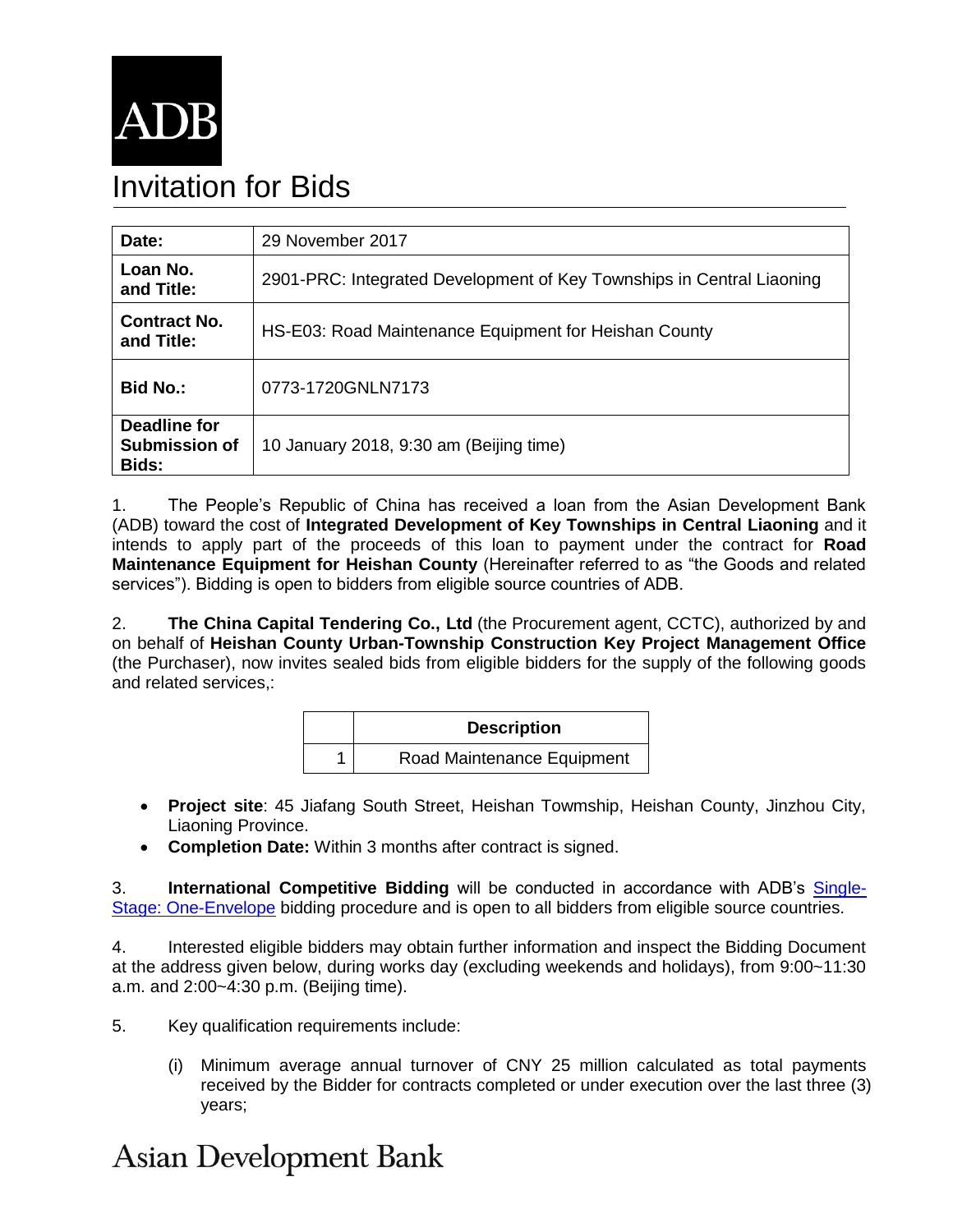

# Invitation for Bids

| Date:                                         | 29 November 2017                                                      |
|-----------------------------------------------|-----------------------------------------------------------------------|
| Loan No.<br>and Title:                        | 2901-PRC: Integrated Development of Key Townships in Central Liaoning |
| <b>Contract No.</b><br>and Title:             | HS-E03: Road Maintenance Equipment for Heishan County                 |
| <b>Bid No.:</b>                               | 0773-1720GNLN7173                                                     |
| Deadline for<br><b>Submission of</b><br>Bids: | 10 January 2018, 9:30 am (Beijing time)                               |

1. The People's Republic of China has received a loan from the Asian Development Bank (ADB) toward the cost of **Integrated Development of Key Townships in Central Liaoning** and it intends to apply part of the proceeds of this loan to payment under the contract for **Road Maintenance Equipment for Heishan County** (Hereinafter referred to as "the Goods and related services"). Bidding is open to bidders from eligible source countries of ADB.

2. **The China Capital Tendering Co., Ltd** (the Procurement agent, CCTC), authorized by and on behalf of **Heishan County Urban-Township Construction Key Project Management Office**  (the Purchaser), now invites sealed bids from eligible bidders for the supply of the following goods and related services,:

| <b>Description</b>         |
|----------------------------|
| Road Maintenance Equipment |

- **Project site**: 45 Jiafang South Street, Heishan Towmship, Heishan County, Jinzhou City, Liaoning Province.
- **Completion Date:** Within 3 months after contract is signed.

3. **International Competitive Bidding** will be conducted in accordance with ADB's [Single-](https://www.adb.org/site/business-opportunities/operational-procurement/goods-services/bidding-procedures)[Stage: One-Envelope](https://www.adb.org/site/business-opportunities/operational-procurement/goods-services/bidding-procedures) bidding procedure and is open to all bidders from eligible source countries.

4. Interested eligible bidders may obtain further information and inspect the Bidding Document at the address given below, during works day (excluding weekends and holidays), from 9:00~11:30 a.m. and 2:00~4:30 p.m. (Beijing time).

5. Key qualification requirements include:

(i) Minimum average annual turnover of CNY 25 million calculated as total payments received by the Bidder for contracts completed or under execution over the last three (3) years;

## **Asian Development Bank**